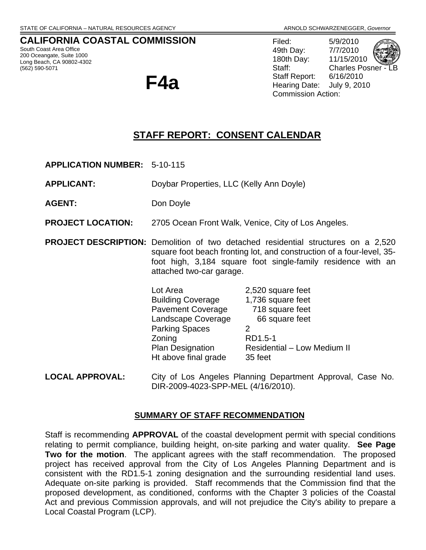## **CALIFORNIA COASTAL COMMISSION**

South Coast Area Office 200 Oceangate, Suite 1000 Long Beach, CA 90802-4302 (562) 590-5071

**F4a** 

Filed: 5/9/2010 49th Day: 7/7/2010 180th Day: 11/15/2010 Staff: Charles Posner Staff Report: 6/16/2010 Hearing Date: July 9, 2010 Commission Action:

# **STAFF REPORT: CONSENT CALENDAR**

**APPLICATION NUMBER:** 5-10-115

**APPLICANT:** Doybar Properties, LLC (Kelly Ann Doyle)

AGENT: Don Doyle

**PROJECT LOCATION:** 2705 Ocean Front Walk, Venice, City of Los Angeles.

**PROJECT DESCRIPTION:** Demolition of two detached residential structures on a 2,520 square foot beach fronting lot, and construction of a four-level, 35 foot high, 3,184 square foot single-family residence with an attached two-car garage.

| Lot Area                 | 2,520 square feet                  |
|--------------------------|------------------------------------|
| <b>Building Coverage</b> | 1,736 square feet                  |
| <b>Pavement Coverage</b> | 718 square feet                    |
| Landscape Coverage       | 66 square feet                     |
| <b>Parking Spaces</b>    | 2                                  |
| Zoning                   | RD1.5-1                            |
| <b>Plan Designation</b>  | <b>Residential - Low Medium II</b> |
| Ht above final grade     | 35 feet                            |
|                          |                                    |

**LOCAL APPROVAL:** City of Los Angeles Planning Department Approval, Case No. DIR-2009-4023-SPP-MEL (4/16/2010).

#### **SUMMARY OF STAFF RECOMMENDATION**

Staff is recommending **APPROVAL** of the coastal development permit with special conditions relating to permit compliance, building height, on-site parking and water quality. **See Page Two for the motion**. The applicant agrees with the staff recommendation. The proposed project has received approval from the City of Los Angeles Planning Department and is consistent with the RD1.5-1 zoning designation and the surrounding residential land uses. Adequate on-site parking is provided. Staff recommends that the Commission find that the proposed development, as conditioned, conforms with the Chapter 3 policies of the Coastal Act and previous Commission approvals, and will not prejudice the City's ability to prepare a Local Coastal Program (LCP).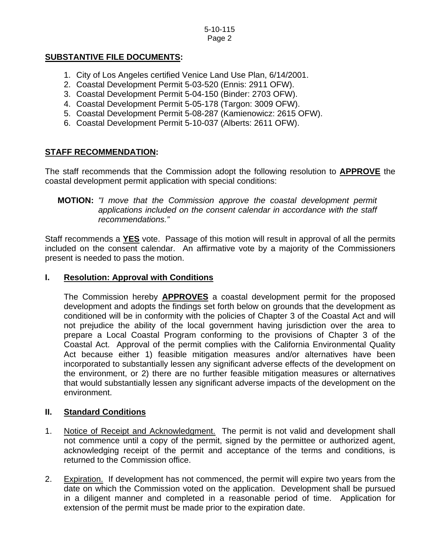## **SUBSTANTIVE FILE DOCUMENTS:**

- 1. City of Los Angeles certified Venice Land Use Plan, 6/14/2001.
- 2. Coastal Development Permit 5-03-520 (Ennis: 2911 OFW).
- 3. Coastal Development Permit 5-04-150 (Binder: 2703 OFW).
- 4. Coastal Development Permit 5-05-178 (Targon: 3009 OFW).
- 5. Coastal Development Permit 5-08-287 (Kamienowicz: 2615 OFW).
- 6. Coastal Development Permit 5-10-037 (Alberts: 2611 OFW).

## **STAFF RECOMMENDATION:**

The staff recommends that the Commission adopt the following resolution to **APPROVE** the coastal development permit application with special conditions:

## **MOTION:** *"I move that the Commission approve the coastal development permit applications included on the consent calendar in accordance with the staff recommendations."*

Staff recommends a **YES** vote. Passage of this motion will result in approval of all the permits included on the consent calendar. An affirmative vote by a majority of the Commissioners present is needed to pass the motion.

## **I. Resolution: Approval with Conditions**

The Commission hereby **APPROVES** a coastal development permit for the proposed development and adopts the findings set forth below on grounds that the development as conditioned will be in conformity with the policies of Chapter 3 of the Coastal Act and will not prejudice the ability of the local government having jurisdiction over the area to prepare a Local Coastal Program conforming to the provisions of Chapter 3 of the Coastal Act. Approval of the permit complies with the California Environmental Quality Act because either 1) feasible mitigation measures and/or alternatives have been incorporated to substantially lessen any significant adverse effects of the development on the environment, or 2) there are no further feasible mitigation measures or alternatives that would substantially lessen any significant adverse impacts of the development on the environment.

## **II. Standard Conditions**

- 1. Notice of Receipt and Acknowledgment. The permit is not valid and development shall not commence until a copy of the permit, signed by the permittee or authorized agent, acknowledging receipt of the permit and acceptance of the terms and conditions, is returned to the Commission office.
- 2. Expiration. If development has not commenced, the permit will expire two years from the date on which the Commission voted on the application. Development shall be pursued in a diligent manner and completed in a reasonable period of time. Application for extension of the permit must be made prior to the expiration date.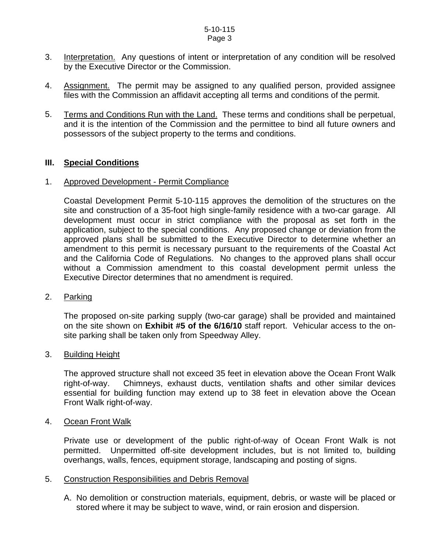#### 5-10-115 Page 3

- 3. Interpretation. Any questions of intent or interpretation of any condition will be resolved by the Executive Director or the Commission.
- 4. Assignment. The permit may be assigned to any qualified person, provided assignee files with the Commission an affidavit accepting all terms and conditions of the permit.
- 5. Terms and Conditions Run with the Land. These terms and conditions shall be perpetual, and it is the intention of the Commission and the permittee to bind all future owners and possessors of the subject property to the terms and conditions.

#### **III. Special Conditions**

#### 1. Approved Development - Permit Compliance

Coastal Development Permit 5-10-115 approves the demolition of the structures on the site and construction of a 35-foot high single-family residence with a two-car garage. All development must occur in strict compliance with the proposal as set forth in the application, subject to the special conditions. Any proposed change or deviation from the approved plans shall be submitted to the Executive Director to determine whether an amendment to this permit is necessary pursuant to the requirements of the Coastal Act and the California Code of Regulations. No changes to the approved plans shall occur without a Commission amendment to this coastal development permit unless the Executive Director determines that no amendment is required.

#### 2. Parking

 The proposed on-site parking supply (two-car garage) shall be provided and maintained on the site shown on **Exhibit #5 of the 6/16/10** staff report. Vehicular access to the onsite parking shall be taken only from Speedway Alley.

#### 3. Building Height

The approved structure shall not exceed 35 feet in elevation above the Ocean Front Walk right-of-way. Chimneys, exhaust ducts, ventilation shafts and other similar devices essential for building function may extend up to 38 feet in elevation above the Ocean Front Walk right-of-way.

#### 4. Ocean Front Walk

Private use or development of the public right-of-way of Ocean Front Walk is not permitted. Unpermitted off-site development includes, but is not limited to, building overhangs, walls, fences, equipment storage, landscaping and posting of signs.

#### 5. Construction Responsibilities and Debris Removal

A. No demolition or construction materials, equipment, debris, or waste will be placed or stored where it may be subject to wave, wind, or rain erosion and dispersion.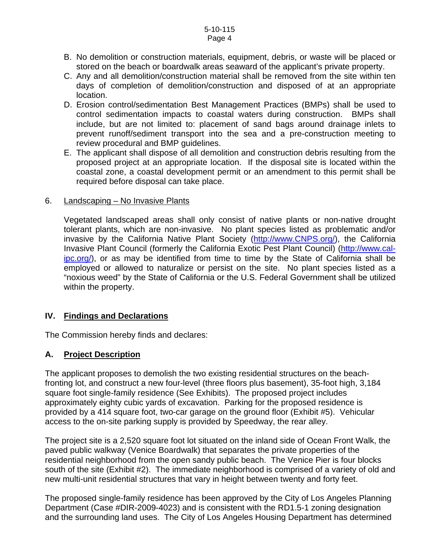#### 5-10-115 Page 4

- B. No demolition or construction materials, equipment, debris, or waste will be placed or stored on the beach or boardwalk areas seaward of the applicant's private property.
- C. Any and all demolition/construction material shall be removed from the site within ten days of completion of demolition/construction and disposed of at an appropriate location.
- D. Erosion control/sedimentation Best Management Practices (BMPs) shall be used to control sedimentation impacts to coastal waters during construction. BMPs shall include, but are not limited to: placement of sand bags around drainage inlets to prevent runoff/sediment transport into the sea and a pre-construction meeting to review procedural and BMP guidelines.
- E. The applicant shall dispose of all demolition and construction debris resulting from the proposed project at an appropriate location. If the disposal site is located within the coastal zone, a coastal development permit or an amendment to this permit shall be required before disposal can take place.

#### 6. Landscaping – No Invasive Plants

Vegetated landscaped areas shall only consist of native plants or non-native drought tolerant plants, which are non-invasive. No plant species listed as problematic and/or invasive by the California Native Plant Society ([http://www.CNPS.org/](http://www.cnps.org/)), the California Invasive Plant Council (formerly the California Exotic Pest Plant Council) [\(http://www.cal](http://www.cal-ipc.org/)[ipc.org/](http://www.cal-ipc.org/)), or as may be identified from time to time by the State of California shall be employed or allowed to naturalize or persist on the site. No plant species listed as a "noxious weed" by the State of California or the U.S. Federal Government shall be utilized within the property.

#### **IV. Findings and Declarations**

The Commission hereby finds and declares:

## **A. Project Description**

The applicant proposes to demolish the two existing residential structures on the beachfronting lot, and construct a new four-level (three floors plus basement), 35-foot high, 3,184 square foot single-family residence (See Exhibits). The proposed project includes approximately eighty cubic yards of excavation. Parking for the proposed residence is provided by a 414 square foot, two-car garage on the ground floor (Exhibit #5). Vehicular access to the on-site parking supply is provided by Speedway, the rear alley.

The project site is a 2,520 square foot lot situated on the inland side of Ocean Front Walk, the paved public walkway (Venice Boardwalk) that separates the private properties of the residential neighborhood from the open sandy public beach. The Venice Pier is four blocks south of the site (Exhibit #2). The immediate neighborhood is comprised of a variety of old and new multi-unit residential structures that vary in height between twenty and forty feet.

The proposed single-family residence has been approved by the City of Los Angeles Planning Department (Case #DIR-2009-4023) and is consistent with the RD1.5-1 zoning designation and the surrounding land uses. The City of Los Angeles Housing Department has determined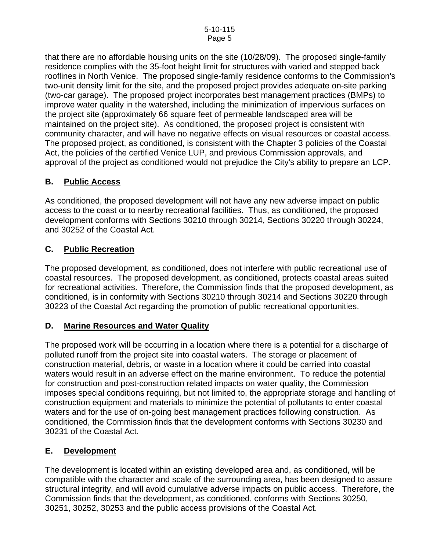that there are no affordable housing units on the site (10/28/09). The proposed single-family residence complies with the 35-foot height limit for structures with varied and stepped back rooflines in North Venice. The proposed single-family residence conforms to the Commission's two-unit density limit for the site, and the proposed project provides adequate on-site parking (two-car garage). The proposed project incorporates best management practices (BMPs) to improve water quality in the watershed, including the minimization of impervious surfaces on the project site (approximately 66 square feet of permeable landscaped area will be maintained on the project site). As conditioned, the proposed project is consistent with community character, and will have no negative effects on visual resources or coastal access. The proposed project, as conditioned, is consistent with the Chapter 3 policies of the Coastal Act, the policies of the certified Venice LUP, and previous Commission approvals, and approval of the project as conditioned would not prejudice the City's ability to prepare an LCP.

## **B. Public Access**

As conditioned, the proposed development will not have any new adverse impact on public access to the coast or to nearby recreational facilities. Thus, as conditioned, the proposed development conforms with Sections 30210 through 30214, Sections 30220 through 30224, and 30252 of the Coastal Act.

## **C. Public Recreation**

The proposed development, as conditioned, does not interfere with public recreational use of coastal resources. The proposed development, as conditioned, protects coastal areas suited for recreational activities. Therefore, the Commission finds that the proposed development, as conditioned, is in conformity with Sections 30210 through 30214 and Sections 30220 through 30223 of the Coastal Act regarding the promotion of public recreational opportunities.

## **D. Marine Resources and Water Quality**

The proposed work will be occurring in a location where there is a potential for a discharge of polluted runoff from the project site into coastal waters. The storage or placement of construction material, debris, or waste in a location where it could be carried into coastal waters would result in an adverse effect on the marine environment. To reduce the potential for construction and post-construction related impacts on water quality, the Commission imposes special conditions requiring, but not limited to, the appropriate storage and handling of construction equipment and materials to minimize the potential of pollutants to enter coastal waters and for the use of on-going best management practices following construction. As conditioned, the Commission finds that the development conforms with Sections 30230 and 30231 of the Coastal Act.

## **E. Development**

The development is located within an existing developed area and, as conditioned, will be compatible with the character and scale of the surrounding area, has been designed to assure structural integrity, and will avoid cumulative adverse impacts on public access. Therefore, the Commission finds that the development, as conditioned, conforms with Sections 30250, 30251, 30252, 30253 and the public access provisions of the Coastal Act.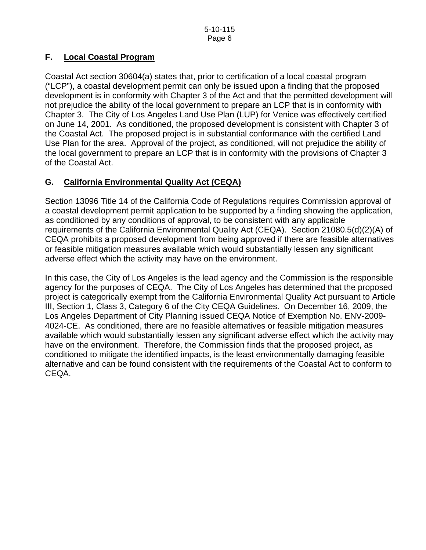## **F. Local Coastal Program**

Coastal Act section 30604(a) states that, prior to certification of a local coastal program ("LCP"), a coastal development permit can only be issued upon a finding that the proposed development is in conformity with Chapter 3 of the Act and that the permitted development will not prejudice the ability of the local government to prepare an LCP that is in conformity with Chapter 3. The City of Los Angeles Land Use Plan (LUP) for Venice was effectively certified on June 14, 2001. As conditioned, the proposed development is consistent with Chapter 3 of the Coastal Act. The proposed project is in substantial conformance with the certified Land Use Plan for the area. Approval of the project, as conditioned, will not prejudice the ability of the local government to prepare an LCP that is in conformity with the provisions of Chapter 3 of the Coastal Act.

## **G. California Environmental Quality Act (CEQA)**

Section 13096 Title 14 of the California Code of Regulations requires Commission approval of a coastal development permit application to be supported by a finding showing the application, as conditioned by any conditions of approval, to be consistent with any applicable requirements of the California Environmental Quality Act (CEQA). Section 21080.5(d)(2)(A) of CEQA prohibits a proposed development from being approved if there are feasible alternatives or feasible mitigation measures available which would substantially lessen any significant adverse effect which the activity may have on the environment.

In this case, the City of Los Angeles is the lead agency and the Commission is the responsible agency for the purposes of CEQA. The City of Los Angeles has determined that the proposed project is categorically exempt from the California Environmental Quality Act pursuant to Article III, Section 1, Class 3, Category 6 of the City CEQA Guidelines. On December 16, 2009, the Los Angeles Department of City Planning issued CEQA Notice of Exemption No. ENV-2009- 4024-CE. As conditioned, there are no feasible alternatives or feasible mitigation measures available which would substantially lessen any significant adverse effect which the activity may have on the environment. Therefore, the Commission finds that the proposed project, as conditioned to mitigate the identified impacts, is the least environmentally damaging feasible alternative and can be found consistent with the requirements of the Coastal Act to conform to CEQA.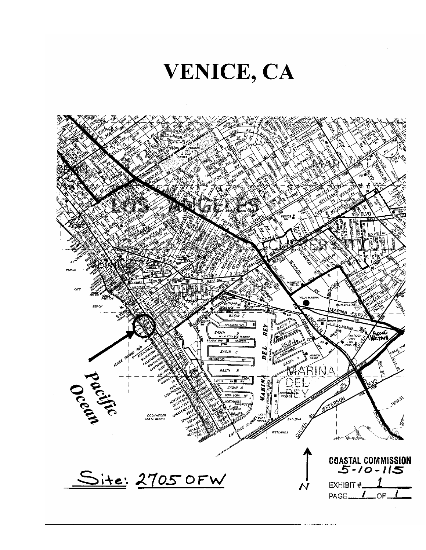# VENICE, CA

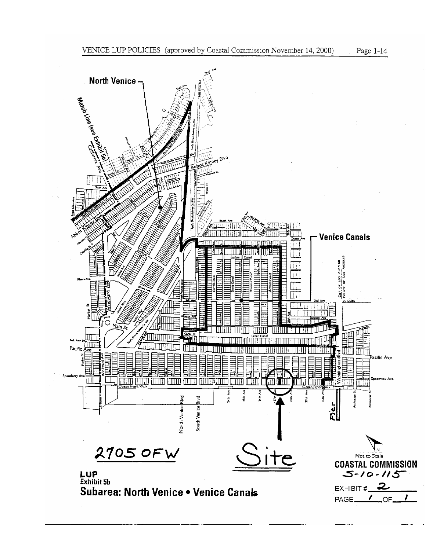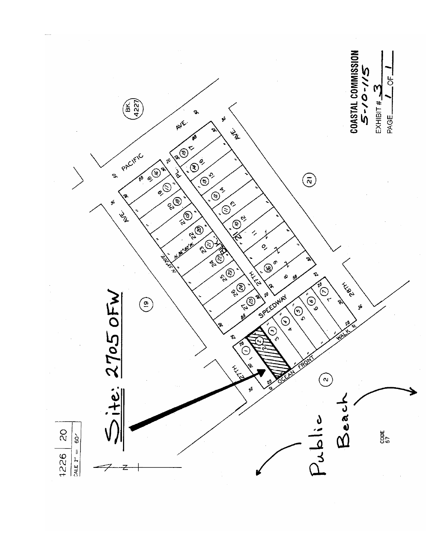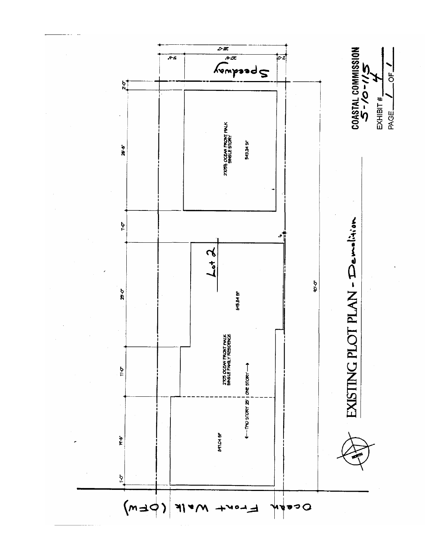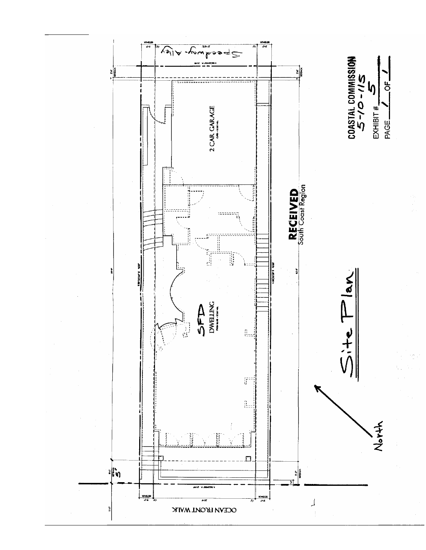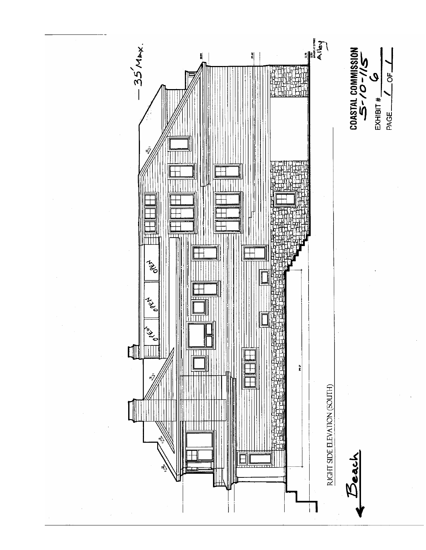